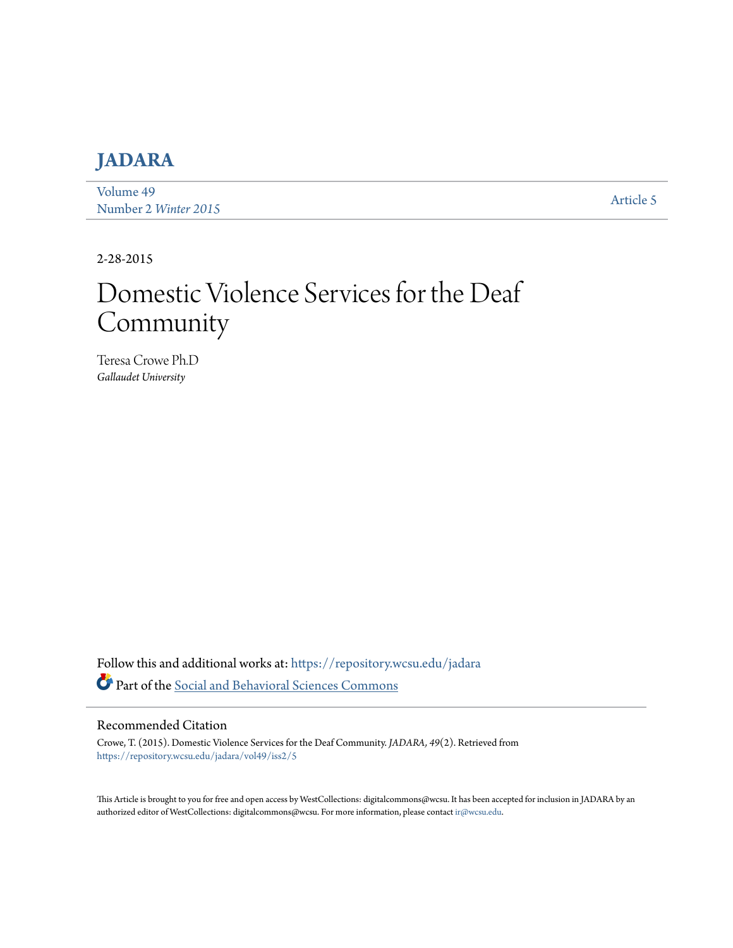# **[JADARA](https://repository.wcsu.edu/jadara?utm_source=repository.wcsu.edu%2Fjadara%2Fvol49%2Fiss2%2F5&utm_medium=PDF&utm_campaign=PDFCoverPages)**

[Volume 49](https://repository.wcsu.edu/jadara/vol49?utm_source=repository.wcsu.edu%2Fjadara%2Fvol49%2Fiss2%2F5&utm_medium=PDF&utm_campaign=PDFCoverPages) Number 2 *[Winter 2015](https://repository.wcsu.edu/jadara/vol49/iss2?utm_source=repository.wcsu.edu%2Fjadara%2Fvol49%2Fiss2%2F5&utm_medium=PDF&utm_campaign=PDFCoverPages)* [Article 5](https://repository.wcsu.edu/jadara/vol49/iss2/5?utm_source=repository.wcsu.edu%2Fjadara%2Fvol49%2Fiss2%2F5&utm_medium=PDF&utm_campaign=PDFCoverPages)

2-28-2015

# Domestic Violence Services for the Deaf Community

Teresa Crowe Ph.D *Gallaudet University*

Follow this and additional works at: [https://repository.wcsu.edu/jadara](https://repository.wcsu.edu/jadara?utm_source=repository.wcsu.edu%2Fjadara%2Fvol49%2Fiss2%2F5&utm_medium=PDF&utm_campaign=PDFCoverPages) Part of the [Social and Behavioral Sciences Commons](http://network.bepress.com/hgg/discipline/316?utm_source=repository.wcsu.edu%2Fjadara%2Fvol49%2Fiss2%2F5&utm_medium=PDF&utm_campaign=PDFCoverPages)

#### Recommended Citation

Crowe, T. (2015). Domestic Violence Services for the Deaf Community. *JADARA, 49*(2). Retrieved from [https://repository.wcsu.edu/jadara/vol49/iss2/5](https://repository.wcsu.edu/jadara/vol49/iss2/5?utm_source=repository.wcsu.edu%2Fjadara%2Fvol49%2Fiss2%2F5&utm_medium=PDF&utm_campaign=PDFCoverPages)

This Article is brought to you for free and open access by WestCollections: digitalcommons@wcsu. It has been accepted for inclusion in JADARA by an authorized editor of WestCollections: digitalcommons@wcsu. For more information, please contact [ir@wcsu.edu](mailto:ir@wcsu.edu).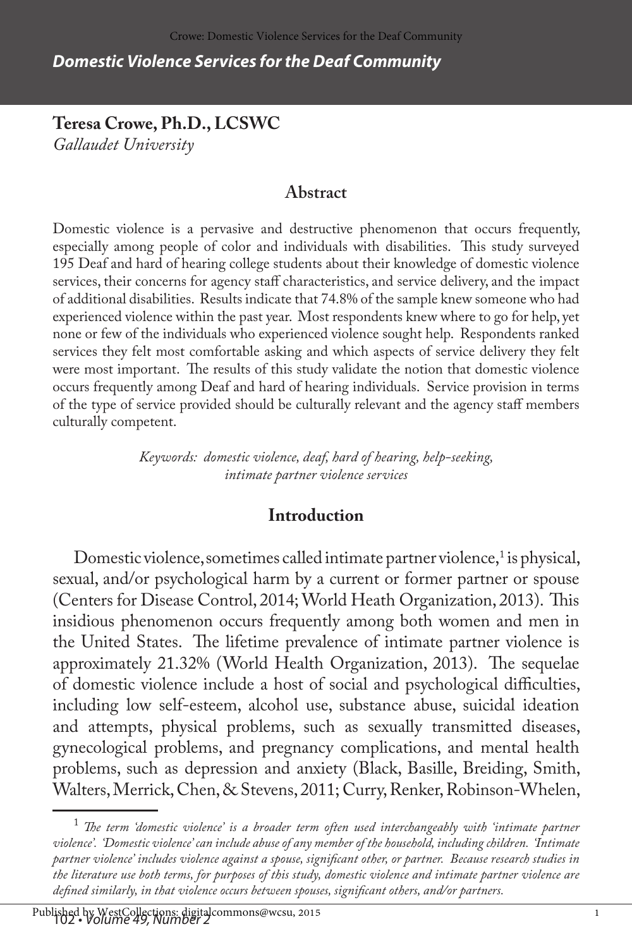*Domestic Violence Services for the Deaf Community*

**Teresa Crowe, Ph.D., LCSWC** *Gallaudet University*

## **Abstract**

Domestic violence is a pervasive and destructive phenomenon that occurs frequently, especially among people of color and individuals with disabilities. This study surveyed 195 Deaf and hard of hearing college students about their knowledge of domestic violence services, their concerns for agency staff characteristics, and service delivery, and the impact of additional disabilities. Results indicate that 74.8% of the sample knew someone who had experienced violence within the past year. Most respondents knew where to go for help, yet none or few of the individuals who experienced violence sought help. Respondents ranked services they felt most comfortable asking and which aspects of service delivery they felt were most important. The results of this study validate the notion that domestic violence occurs frequently among Deaf and hard of hearing individuals. Service provision in terms of the type of service provided should be culturally relevant and the agency staff members culturally competent.

> *Keywords: domestic violence, deaf, hard of hearing, help-seeking, intimate partner violence services*

### **Introduction**

Domestic violence, sometimes called intimate partner violence, $^1$  is physical, sexual, and/or psychological harm by a current or former partner or spouse (Centers for Disease Control, 2014; World Heath Organization, 2013). This insidious phenomenon occurs frequently among both women and men in the United States. The lifetime prevalence of intimate partner violence is approximately 21.32% (World Health Organization, 2013). The sequelae of domestic violence include a host of social and psychological difficulties, including low self-esteem, alcohol use, substance abuse, suicidal ideation and attempts, physical problems, such as sexually transmitted diseases, gynecological problems, and pregnancy complications, and mental health problems, such as depression and anxiety (Black, Basille, Breiding, Smith, Walters, Merrick, Chen, & Stevens, 2011; Curry, Renker, Robinson-Whelen,

 $^1$  The term 'domestic violence' is a broader term often used interchangeably with 'intimate partner *violence'. 'Domestic violence' can include abuse of any member of the household, including children. 'Intimate partner violence' includes violence against a spouse, significant other, or partner. Because research studies in the literature use both terms, for purposes of this study, domestic violence and intimate partner violence are defined similarly, in that violence occurs between spouses, significant others, and/or partners.*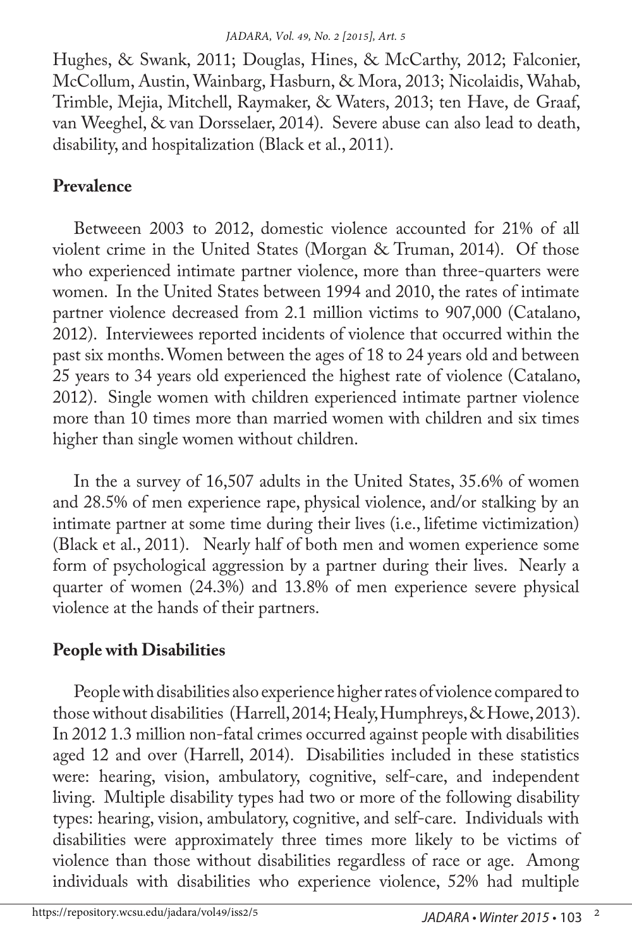Hughes, & Swank, 2011; Douglas, Hines, & McCarthy, 2012; Falconier, McCollum, Austin, Wainbarg, Hasburn, & Mora, 2013; Nicolaidis, Wahab, Trimble, Mejia, Mitchell, Raymaker, & Waters, 2013; ten Have, de Graaf, van Weeghel, & van Dorsselaer, 2014). Severe abuse can also lead to death, disability, and hospitalization (Black et al., 2011).

# **Prevalence**

Betweeen 2003 to 2012, domestic violence accounted for 21% of all violent crime in the United States (Morgan & Truman, 2014). Of those who experienced intimate partner violence, more than three-quarters were women. In the United States between 1994 and 2010, the rates of intimate partner violence decreased from 2.1 million victims to 907,000 (Catalano, 2012). Interviewees reported incidents of violence that occurred within the past six months. Women between the ages of 18 to 24 years old and between 25 years to 34 years old experienced the highest rate of violence (Catalano, 2012). Single women with children experienced intimate partner violence more than 10 times more than married women with children and six times higher than single women without children.

In the a survey of 16,507 adults in the United States, 35.6% of women and 28.5% of men experience rape, physical violence, and/or stalking by an intimate partner at some time during their lives (i.e., lifetime victimization) (Black et al., 2011). Nearly half of both men and women experience some form of psychological aggression by a partner during their lives. Nearly a quarter of women (24.3%) and 13.8% of men experience severe physical violence at the hands of their partners.

# **People with Disabilities**

People with disabilities also experience higher rates of violence compared to those without disabilities (Harrell, 2014; Healy, Humphreys, & Howe, 2013). In 2012 1.3 million non-fatal crimes occurred against people with disabilities aged 12 and over (Harrell, 2014). Disabilities included in these statistics were: hearing, vision, ambulatory, cognitive, self-care, and independent living. Multiple disability types had two or more of the following disability types: hearing, vision, ambulatory, cognitive, and self-care. Individuals with disabilities were approximately three times more likely to be victims of violence than those without disabilities regardless of race or age. Among individuals with disabilities who experience violence, 52% had multiple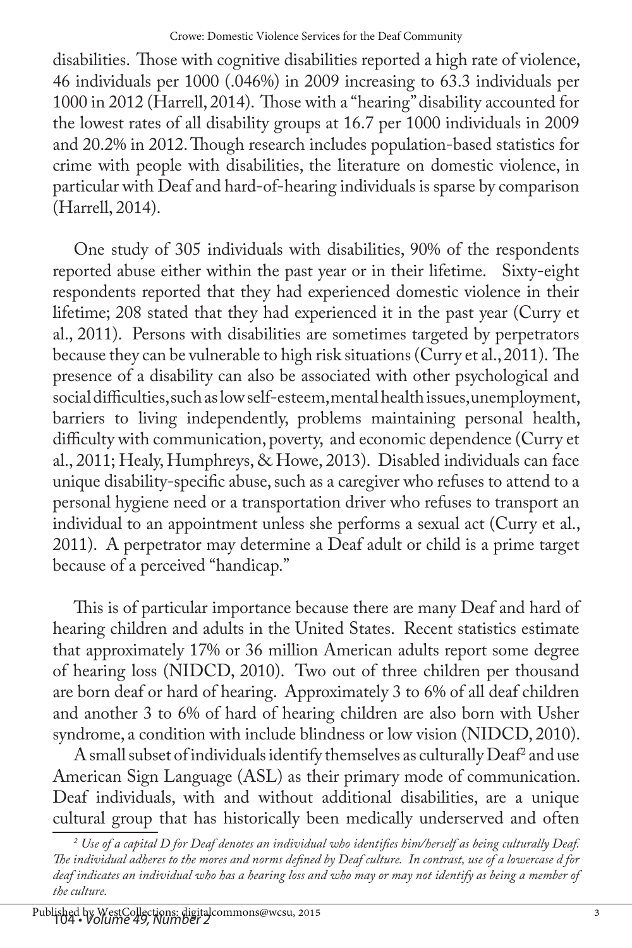disabilities. Those with cognitive disabilities reported a high rate of violence, 46 individuals per 1000 (.046%) in 2009 increasing to 63.3 individuals per 1000 in 2012 (Harrell, 2014). Those with a "hearing" disability accounted for the lowest rates of all disability groups at 16.7 per 1000 individuals in 2009 and 20.2% in 2012. Though research includes population-based statistics for crime with people with disabilities, the literature on domestic violence, in particular with Deaf and hard-of-hearing individuals is sparse by comparison (Harrell, 2014).

One study of 305 individuals with disabilities, 90% of the respondents reported abuse either within the past year or in their lifetime. Sixty-eight respondents reported that they had experienced domestic violence in their lifetime; 208 stated that they had experienced it in the past year (Curry et al., 2011). Persons with disabilities are sometimes targeted by perpetrators because they can be vulnerable to high risk situations (Curry et al., 2011). The presence of a disability can also be associated with other psychological and social difficulties, such as low self-esteem, mental health issues, unemployment, barriers to living independently, problems maintaining personal health, difficulty with communication, poverty, and economic dependence (Curry et al., 2011; Healy, Humphreys, & Howe, 2013). Disabled individuals can face unique disability-specific abuse, such as a caregiver who refuses to attend to a personal hygiene need or a transportation driver who refuses to transport an individual to an appointment unless she performs a sexual act (Curry et al., 2011). A perpetrator may determine a Deaf adult or child is a prime target because of a perceived "handicap."

This is of particular importance because there are many Deaf and hard of hearing children and adults in the United States. Recent statistics estimate that approximately 17% or 36 million American adults report some degree of hearing loss (NIDCD, 2010). Two out of three children per thousand are born deaf or hard of hearing. Approximately 3 to 6% of all deaf children and another 3 to 6% of hard of hearing children are also born with Usher syndrome, a condition with include blindness or low vision (NIDCD, 2010).

A small subset of individuals identify themselves as culturally  $\mathrm{D}\mathrm{e}\mathrm{a}\mathrm{f}^2$  and use American Sign Language (ASL) as their primary mode of communication. Deaf individuals, with and without additional disabilities, are a unique cultural group that has historically been medically underserved and often

*<sup>2</sup> Use of a capital D for Deaf denotes an individual who identifies him/herself as being culturally Deaf. The individual adheres to the mores and norms defined by Deaf culture. In contrast, use of a lowercase d for deaf indicates an individual who has a hearing loss and who may or may not identify as being a member of the culture.*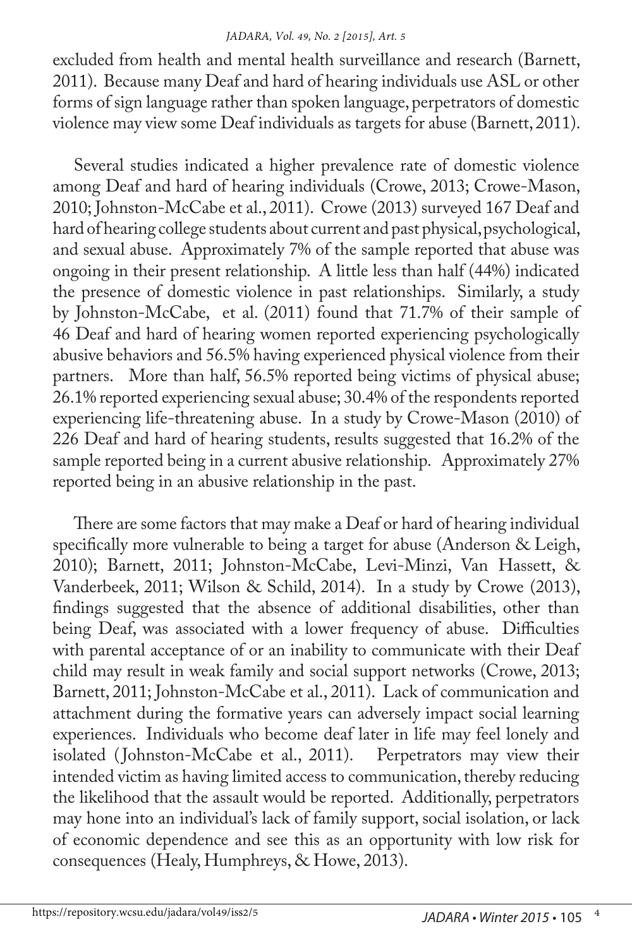#### *JADARA, Vol. 49, No. 2 [2015], Art. 5*

excluded from health and mental health surveillance and research (Barnett, 2011). Because many Deaf and hard of hearing individuals use ASL or other forms of sign language rather than spoken language, perpetrators of domestic violence may view some Deaf individuals as targets for abuse (Barnett, 2011).

Several studies indicated a higher prevalence rate of domestic violence among Deaf and hard of hearing individuals (Crowe, 2013; Crowe-Mason, 2010; Johnston-McCabe et al., 2011). Crowe (2013) surveyed 167 Deaf and hard of hearing college students about current and past physical, psychological, and sexual abuse. Approximately 7% of the sample reported that abuse was ongoing in their present relationship. A little less than half (44%) indicated the presence of domestic violence in past relationships. Similarly, a study by Johnston-McCabe, et al. (2011) found that 71.7% of their sample of 46 Deaf and hard of hearing women reported experiencing psychologically abusive behaviors and 56.5% having experienced physical violence from their partners. More than half, 56.5% reported being victims of physical abuse; 26.1% reported experiencing sexual abuse; 30.4% of the respondents reported experiencing life-threatening abuse. In a study by Crowe-Mason (2010) of 226 Deaf and hard of hearing students, results suggested that 16.2% of the sample reported being in a current abusive relationship. Approximately 27% reported being in an abusive relationship in the past.

There are some factors that may make a Deaf or hard of hearing individual specifically more vulnerable to being a target for abuse (Anderson & Leigh, 2010); Barnett, 2011; Johnston-McCabe, Levi-Minzi, Van Hassett, & Vanderbeek, 2011; Wilson & Schild, 2014). In a study by Crowe (2013), findings suggested that the absence of additional disabilities, other than being Deaf, was associated with a lower frequency of abuse. Difficulties with parental acceptance of or an inability to communicate with their Deaf child may result in weak family and social support networks (Crowe, 2013; Barnett, 2011; Johnston-McCabe et al., 2011). Lack of communication and attachment during the formative years can adversely impact social learning experiences. Individuals who become deaf later in life may feel lonely and isolated (Johnston-McCabe et al., 2011). Perpetrators may view their intended victim as having limited access to communication, thereby reducing the likelihood that the assault would be reported. Additionally, perpetrators may hone into an individual's lack of family support, social isolation, or lack of economic dependence and see this as an opportunity with low risk for consequences (Healy, Humphreys, & Howe, 2013).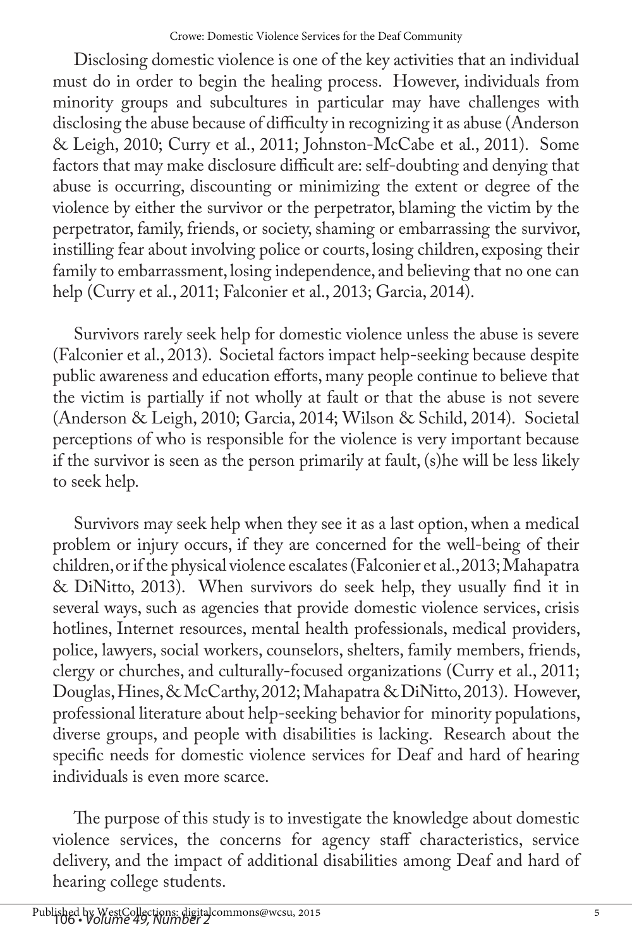Disclosing domestic violence is one of the key activities that an individual must do in order to begin the healing process. However, individuals from minority groups and subcultures in particular may have challenges with disclosing the abuse because of difficulty in recognizing it as abuse (Anderson & Leigh, 2010; Curry et al., 2011; Johnston-McCabe et al., 2011). Some factors that may make disclosure difficult are: self-doubting and denying that abuse is occurring, discounting or minimizing the extent or degree of the violence by either the survivor or the perpetrator, blaming the victim by the perpetrator, family, friends, or society, shaming or embarrassing the survivor, instilling fear about involving police or courts, losing children, exposing their family to embarrassment, losing independence, and believing that no one can help (Curry et al., 2011; Falconier et al., 2013; Garcia, 2014).

Survivors rarely seek help for domestic violence unless the abuse is severe (Falconier et al., 2013). Societal factors impact help-seeking because despite public awareness and education efforts, many people continue to believe that the victim is partially if not wholly at fault or that the abuse is not severe (Anderson & Leigh, 2010; Garcia, 2014; Wilson & Schild, 2014). Societal perceptions of who is responsible for the violence is very important because if the survivor is seen as the person primarily at fault, (s)he will be less likely to seek help.

Survivors may seek help when they see it as a last option, when a medical problem or injury occurs, if they are concerned for the well-being of their children, or if the physical violence escalates (Falconier et al., 2013; Mahapatra & DiNitto, 2013). When survivors do seek help, they usually find it in several ways, such as agencies that provide domestic violence services, crisis hotlines, Internet resources, mental health professionals, medical providers, police, lawyers, social workers, counselors, shelters, family members, friends, clergy or churches, and culturally-focused organizations (Curry et al., 2011; Douglas, Hines, & McCarthy, 2012; Mahapatra & DiNitto, 2013). However, professional literature about help-seeking behavior for minority populations, diverse groups, and people with disabilities is lacking. Research about the specific needs for domestic violence services for Deaf and hard of hearing individuals is even more scarce.

The purpose of this study is to investigate the knowledge about domestic violence services, the concerns for agency staff characteristics, service delivery, and the impact of additional disabilities among Deaf and hard of hearing college students.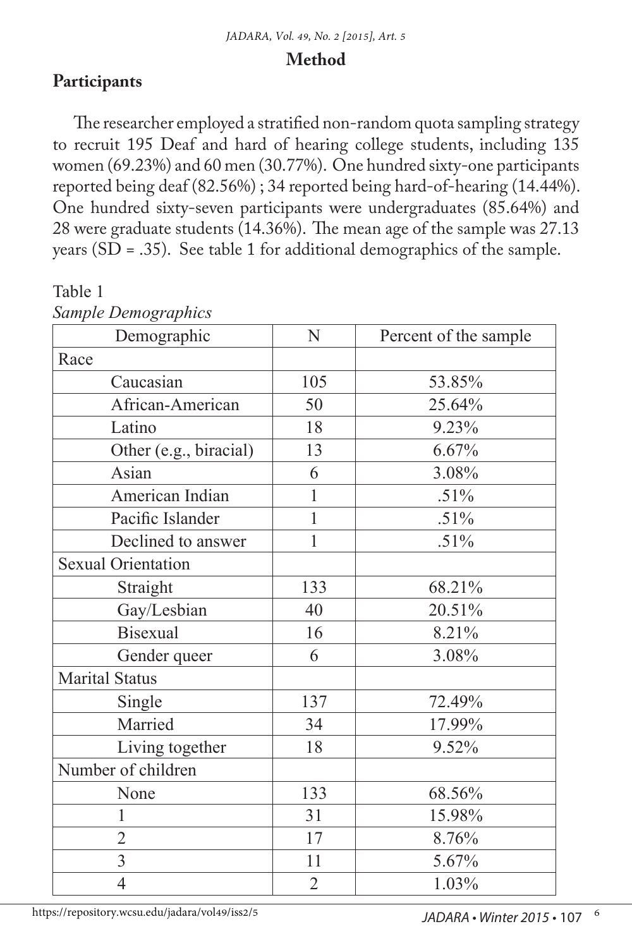#### **Method**

### **Participants**

The researcher employed a stratified non-random quota sampling strategy to recruit 195 Deaf and hard of hearing college students, including 135 women (69.23%) and 60 men (30.77%). One hundred sixty-one participants reported being deaf (82.56%) ; 34 reported being hard-of-hearing (14.44%). One hundred sixty-seven participants were undergraduates (85.64%) and 28 were graduate students (14.36%). The mean age of the sample was 27.13 years (SD = .35). See table 1 for additional demographics of the sample.

| Sumple Demographics       |                |                       |  |  |
|---------------------------|----------------|-----------------------|--|--|
| Demographic               | N              | Percent of the sample |  |  |
| Race                      |                |                       |  |  |
| Caucasian                 | 105            | 53.85%                |  |  |
| African-American          | 50             | 25.64%                |  |  |
| Latino                    | 18             | 9.23%                 |  |  |
| Other (e.g., biracial)    | 13             | 6.67%                 |  |  |
| Asian                     | 6              | 3.08%                 |  |  |
| American Indian           | 1              | .51%                  |  |  |
| Pacific Islander          | $\mathbf{1}$   | .51%                  |  |  |
| Declined to answer        | $\mathbf{1}$   | .51%                  |  |  |
| <b>Sexual Orientation</b> |                |                       |  |  |
| Straight                  | 133            | 68.21%                |  |  |
| Gay/Lesbian               | 40             | 20.51%                |  |  |
| <b>Bisexual</b>           | 16             | 8.21%                 |  |  |
| Gender queer              | 6              | 3.08%                 |  |  |
| <b>Marital Status</b>     |                |                       |  |  |
| Single                    | 137            | 72.49%                |  |  |
| Married                   | 34             | 17.99%                |  |  |
| Living together           | 18             | 9.52%                 |  |  |
| Number of children        |                |                       |  |  |
| None                      | 133            | 68.56%                |  |  |
| $\mathbf{1}$              | 31             | 15.98%                |  |  |
| $\overline{2}$            | 17             | 8.76%                 |  |  |
| $\overline{3}$            | 11             | 5.67%                 |  |  |
| $\overline{4}$            | $\overline{2}$ | 1.03%                 |  |  |

Table 1 *Sample Demographics*

https://repository.wcsu.edu/jadara/vol49/iss2/5

 *JADARA • Winter 2015* • 107 6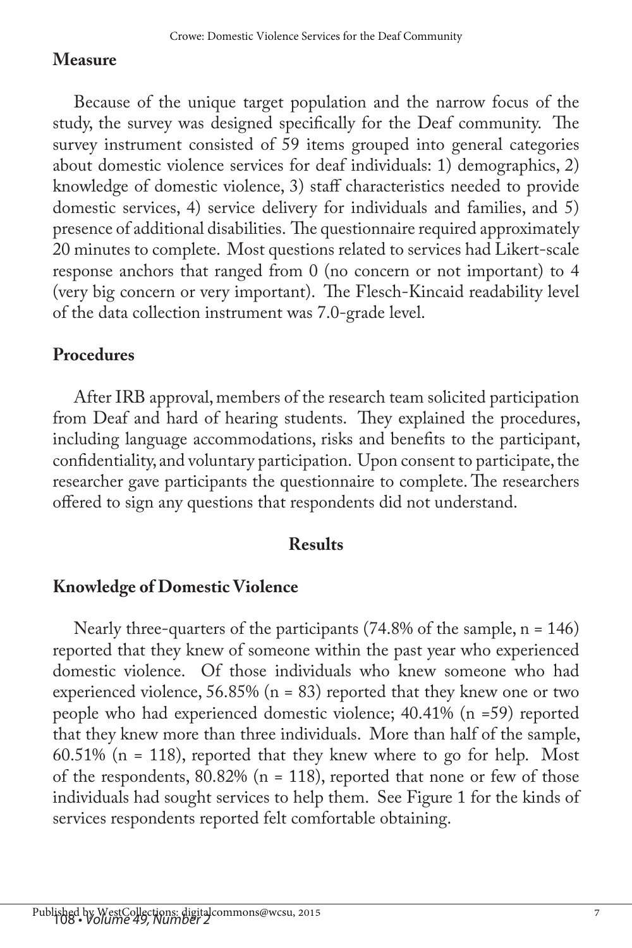## **Measure**

Because of the unique target population and the narrow focus of the study, the survey was designed specifically for the Deaf community. The survey instrument consisted of 59 items grouped into general categories about domestic violence services for deaf individuals: 1) demographics, 2) knowledge of domestic violence, 3) staff characteristics needed to provide domestic services, 4) service delivery for individuals and families, and 5) presence of additional disabilities. The questionnaire required approximately 20 minutes to complete. Most questions related to services had Likert-scale response anchors that ranged from 0 (no concern or not important) to 4 (very big concern or very important). The Flesch-Kincaid readability level of the data collection instrument was 7.0-grade level.

## **Procedures**

After IRB approval, members of the research team solicited participation from Deaf and hard of hearing students. They explained the procedures, including language accommodations, risks and benefits to the participant, confidentiality, and voluntary participation. Upon consent to participate, the researcher gave participants the questionnaire to complete. The researchers offered to sign any questions that respondents did not understand.

## **Results**

## **Knowledge of Domestic Violence**

Nearly three-quarters of the participants (74.8% of the sample, n = 146) reported that they knew of someone within the past year who experienced domestic violence. Of those individuals who knew someone who had experienced violence,  $56.85\%$  (n = 83) reported that they knew one or two people who had experienced domestic violence; 40.41% (n =59) reported that they knew more than three individuals. More than half of the sample, 60.51% (n = 118), reported that they knew where to go for help. Most of the respondents,  $80.82\%$  (n = 118), reported that none or few of those individuals had sought services to help them. See Figure 1 for the kinds of services respondents reported felt comfortable obtaining.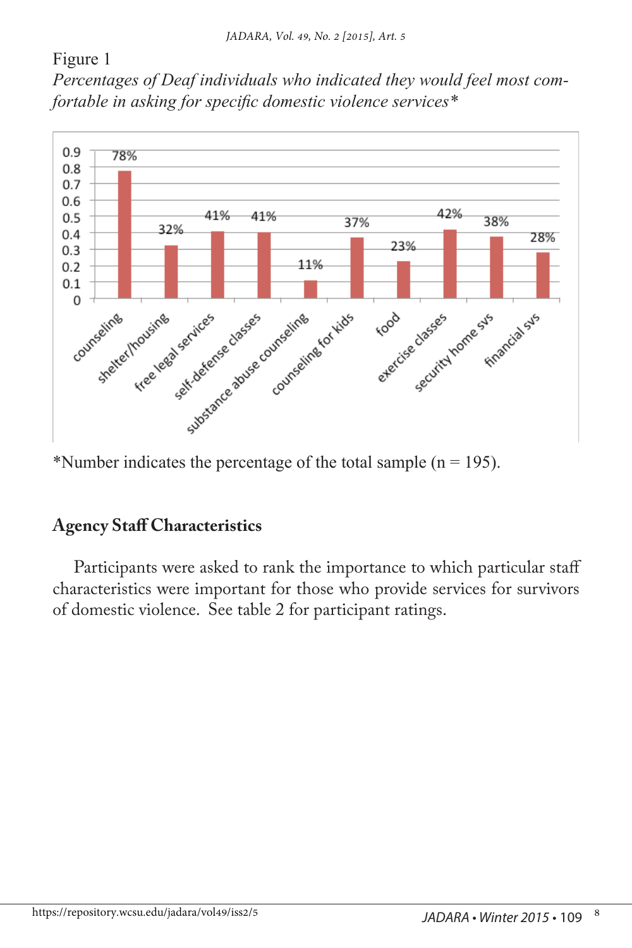#### Figure 1

*Percentages of Deaf individuals who indicated they would feel most comfortable in asking for specific domestic violence services\**



\*Number indicates the percentage of the total sample  $(n = 195)$ .

### **Agency Staff Characteristics**

Participants were asked to rank the importance to which particular staff characteristics were important for those who provide services for survivors of domestic violence. See table 2 for participant ratings.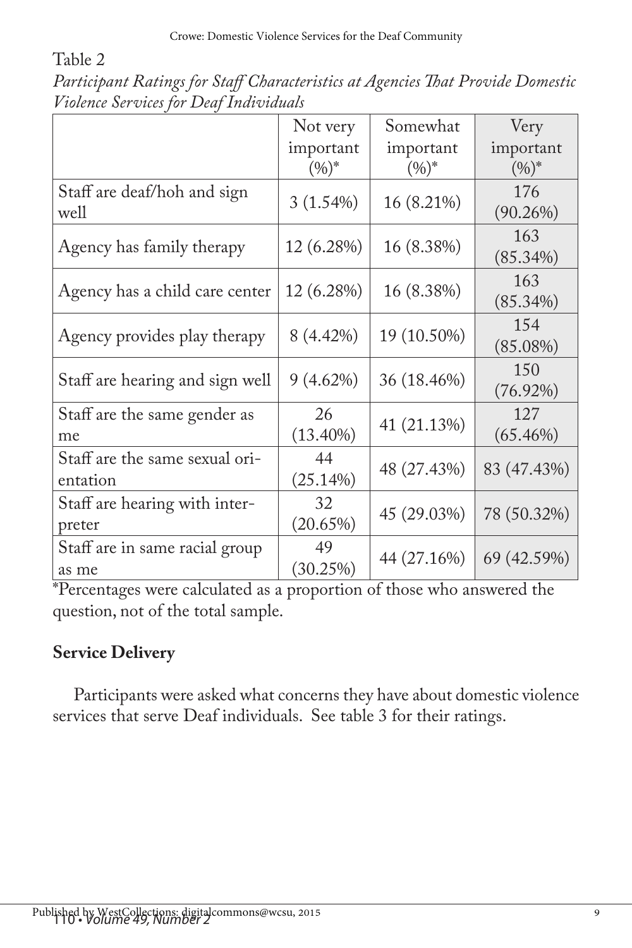Table 2

|                                            | Not very               | Somewhat              | Very                  |
|--------------------------------------------|------------------------|-----------------------|-----------------------|
|                                            | important<br>$(9/6)^*$ | important<br>$(0/0)*$ | important<br>$(0/0)*$ |
| Staff are deaf/hoh and sign<br>well        | 3(1.54%)               | 16 (8.21%)            | 176<br>$(90.26\%)$    |
| Agency has family therapy                  | 12 (6.28%)             | 16 (8.38%)            | 163<br>$(85.34\%)$    |
| Agency has a child care center             | 12 (6.28%)             | 16 (8.38%)            | 163<br>$(85.34\%)$    |
| Agency provides play therapy               | 8 (4.42%)              | 19 (10.50%)           | 154<br>$(85.08\%)$    |
| Staff are hearing and sign well            | 9(4.62%)               | 36 (18.46%)           | 150<br>$(76.92\%)$    |
| Staff are the same gender as<br>me         | 26<br>$(13.40\%)$      | 41 (21.13%)           | 127<br>$(65.46\%)$    |
| Staff are the same sexual ori-<br>entation | 44<br>(25.14%)         | 48 (27.43%)           | 83 (47.43%)           |
| Staff are hearing with inter-<br>preter    | 32<br>(20.65%)         | 45 (29.03%)           | 78 (50.32%)           |
| Staff are in same racial group<br>as me    | 49<br>(30.25%)         | 44 (27.16%)           | 69 (42.59%)           |

*Participant Ratings for Staff Characteristics at Agencies That Provide Domestic Violence Services for Deaf Individuals*

\*Percentages were calculated as a proportion of those who answered the question, not of the total sample.

# **Service Delivery**

Participants were asked what concerns they have about domestic violence services that serve Deaf individuals. See table 3 for their ratings.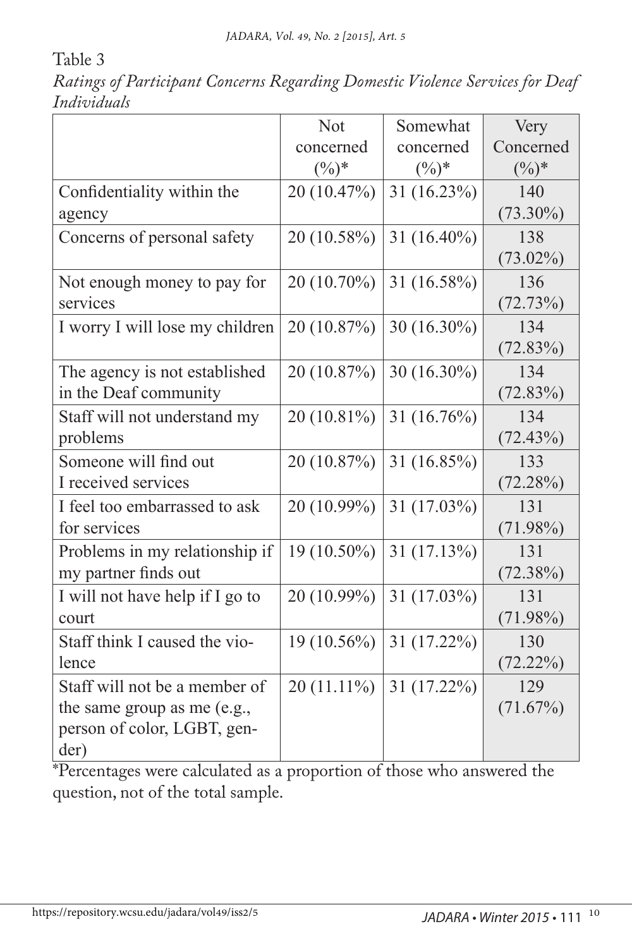Table 3

*Ratings of Participant Concerns Regarding Domestic Violence Services for Deaf Individuals*

|                                 | <b>Not</b>    | Somewhat       | Very        |
|---------------------------------|---------------|----------------|-------------|
|                                 | concerned     | concerned      | Concerned   |
|                                 | $(\%)^*$      | $(\%)^*$       | $(\%)^*$    |
| Confidentiality within the      | 20 (10.47%)   | 31 (16.23%)    | 140         |
| agency                          |               |                | $(73.30\%)$ |
| Concerns of personal safety     | 20 (10.58%)   | 31 $(16.40\%)$ | 138         |
|                                 |               |                | $(73.02\%)$ |
| Not enough money to pay for     | 20 (10.70%)   | $31(16.58\%)$  | 136         |
| services                        |               |                | (72.73%)    |
| I worry I will lose my children | 20 (10.87%)   | 30 (16.30%)    | 134         |
|                                 |               |                | (72.83%)    |
| The agency is not established   | 20 (10.87%)   | 30 (16.30%)    | 134         |
| in the Deaf community           |               |                | (72.83%)    |
| Staff will not understand my    | 20 (10.81%)   | 31 $(16.76\%)$ | 134         |
| problems                        |               |                | (72.43%)    |
| Someone will find out           | 20 (10.87%)   | 31 (16.85%)    | 133         |
| I received services             |               |                | (72.28%)    |
| I feel too embarrassed to ask   | 20 (10.99%)   | 31 (17.03%)    | 131         |
| for services                    |               |                | $(71.98\%)$ |
| Problems in my relationship if  | 19 (10.50%)   | 31(17.13%)     | 131         |
| my partner finds out            |               |                | $(72.38\%)$ |
| I will not have help if I go to | 20 (10.99%)   | $31(17.03\%)$  | 131         |
| court                           |               |                | $(71.98\%)$ |
| Staff think I caused the vio-   | 19 (10.56%)   | 31 (17.22%)    | 130         |
| lence                           |               |                | (72.22%)    |
| Staff will not be a member of   | $20(11.11\%)$ | 31 (17.22%)    | 129         |
| the same group as me (e.g.,     |               |                | (71.67%)    |
| person of color, LGBT, gen-     |               |                |             |
| der)                            |               |                |             |

\*Percentages were calculated as a proportion of those who answered the question, not of the total sample.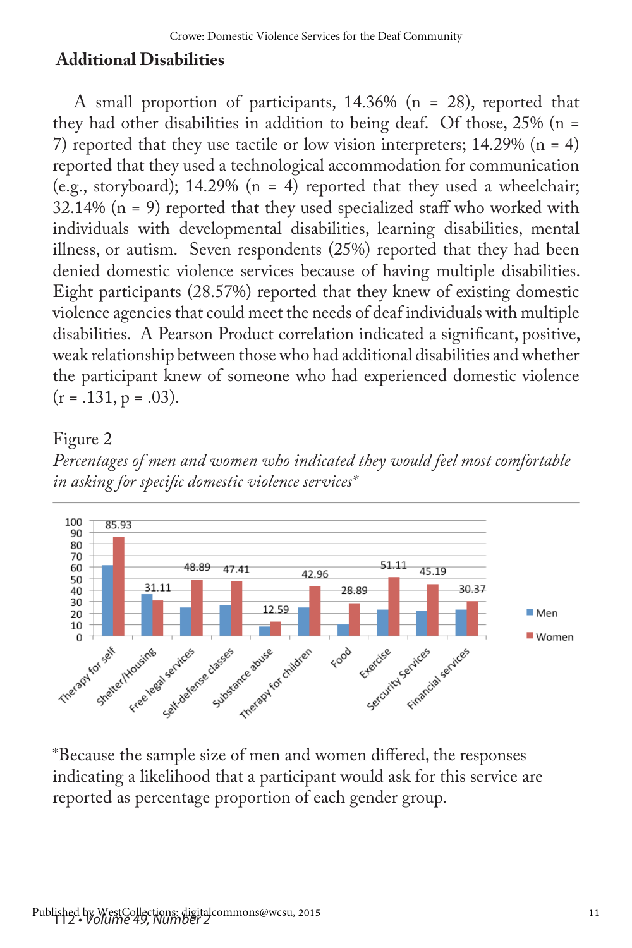## **Additional Disabilities**

A small proportion of participants, 14.36% (n = 28), reported that they had other disabilities in addition to being deaf. Of those, 25% (n = 7) reported that they use tactile or low vision interpreters;  $14.29\%$  (n = 4) reported that they used a technological accommodation for communication (e.g., storyboard); 14.29% ( $n = 4$ ) reported that they used a wheelchair;  $32.14\%$  (n = 9) reported that they used specialized staff who worked with individuals with developmental disabilities, learning disabilities, mental illness, or autism. Seven respondents (25%) reported that they had been denied domestic violence services because of having multiple disabilities. Eight participants (28.57%) reported that they knew of existing domestic violence agencies that could meet the needs of deaf individuals with multiple disabilities. A Pearson Product correlation indicated a significant, positive, weak relationship between those who had additional disabilities and whether the participant knew of someone who had experienced domestic violence  $(r = .131, p = .03)$ .

### Figure 2





\*Because the sample size of men and women differed, the responses indicating a likelihood that a participant would ask for this service are reported as percentage proportion of each gender group.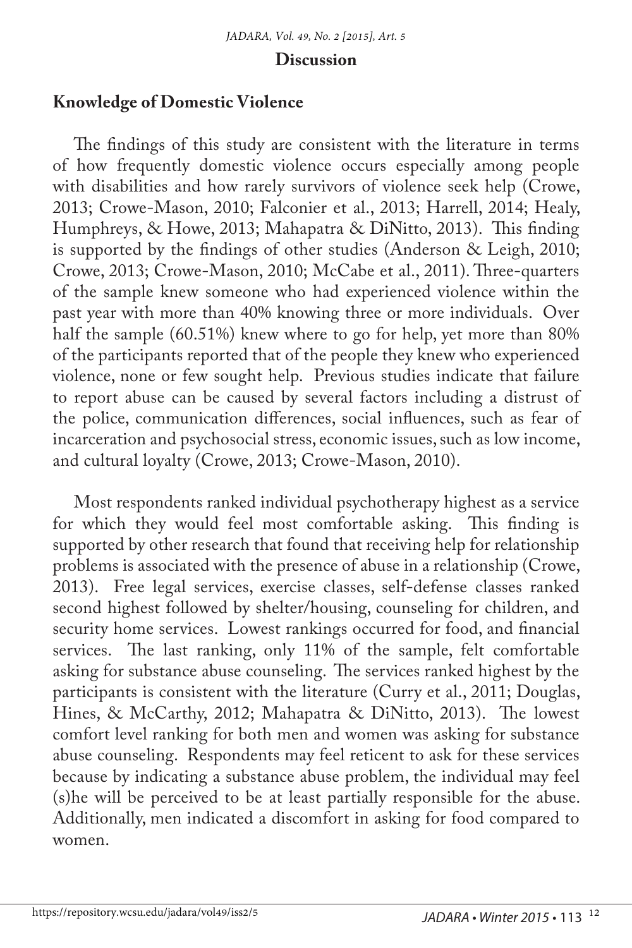#### **Discussion**

#### **Knowledge of Domestic Violence**

The findings of this study are consistent with the literature in terms of how frequently domestic violence occurs especially among people with disabilities and how rarely survivors of violence seek help (Crowe, 2013; Crowe-Mason, 2010; Falconier et al., 2013; Harrell, 2014; Healy, Humphreys, & Howe, 2013; Mahapatra & DiNitto, 2013). This finding is supported by the findings of other studies (Anderson & Leigh, 2010; Crowe, 2013; Crowe-Mason, 2010; McCabe et al., 2011). Three-quarters of the sample knew someone who had experienced violence within the past year with more than 40% knowing three or more individuals. Over half the sample (60.51%) knew where to go for help, yet more than 80% of the participants reported that of the people they knew who experienced violence, none or few sought help. Previous studies indicate that failure to report abuse can be caused by several factors including a distrust of the police, communication differences, social influences, such as fear of incarceration and psychosocial stress, economic issues, such as low income, and cultural loyalty (Crowe, 2013; Crowe-Mason, 2010).

Most respondents ranked individual psychotherapy highest as a service for which they would feel most comfortable asking. This finding is supported by other research that found that receiving help for relationship problems is associated with the presence of abuse in a relationship (Crowe, 2013). Free legal services, exercise classes, self-defense classes ranked second highest followed by shelter/housing, counseling for children, and security home services. Lowest rankings occurred for food, and financial services. The last ranking, only 11% of the sample, felt comfortable asking for substance abuse counseling. The services ranked highest by the participants is consistent with the literature (Curry et al., 2011; Douglas, Hines, & McCarthy, 2012; Mahapatra & DiNitto, 2013). The lowest comfort level ranking for both men and women was asking for substance abuse counseling. Respondents may feel reticent to ask for these services because by indicating a substance abuse problem, the individual may feel (s)he will be perceived to be at least partially responsible for the abuse. Additionally, men indicated a discomfort in asking for food compared to women.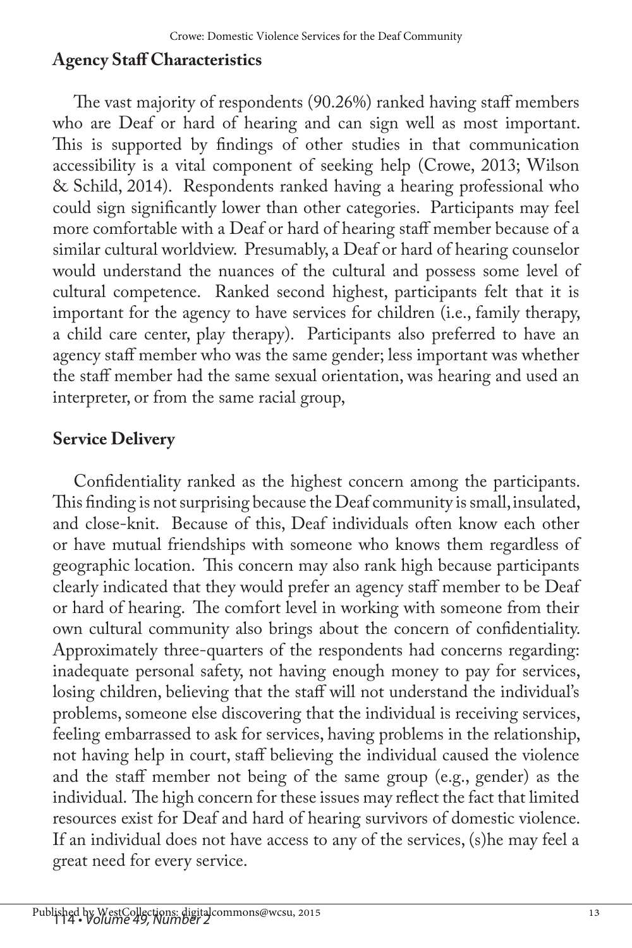## **Agency Staff Characteristics**

The vast majority of respondents (90.26%) ranked having staff members who are Deaf or hard of hearing and can sign well as most important. This is supported by findings of other studies in that communication accessibility is a vital component of seeking help (Crowe, 2013; Wilson & Schild, 2014). Respondents ranked having a hearing professional who could sign significantly lower than other categories. Participants may feel more comfortable with a Deaf or hard of hearing staff member because of a similar cultural worldview. Presumably, a Deaf or hard of hearing counselor would understand the nuances of the cultural and possess some level of cultural competence. Ranked second highest, participants felt that it is important for the agency to have services for children (i.e., family therapy, a child care center, play therapy). Participants also preferred to have an agency staff member who was the same gender; less important was whether the staff member had the same sexual orientation, was hearing and used an interpreter, or from the same racial group,

## **Service Delivery**

Confidentiality ranked as the highest concern among the participants. This finding is not surprising because the Deaf community is small, insulated, and close-knit. Because of this, Deaf individuals often know each other or have mutual friendships with someone who knows them regardless of geographic location. This concern may also rank high because participants clearly indicated that they would prefer an agency staff member to be Deaf or hard of hearing. The comfort level in working with someone from their own cultural community also brings about the concern of confidentiality. Approximately three-quarters of the respondents had concerns regarding: inadequate personal safety, not having enough money to pay for services, losing children, believing that the staff will not understand the individual's problems, someone else discovering that the individual is receiving services, feeling embarrassed to ask for services, having problems in the relationship, not having help in court, staff believing the individual caused the violence and the staff member not being of the same group (e.g., gender) as the individual. The high concern for these issues may reflect the fact that limited resources exist for Deaf and hard of hearing survivors of domestic violence. If an individual does not have access to any of the services, (s)he may feel a great need for every service.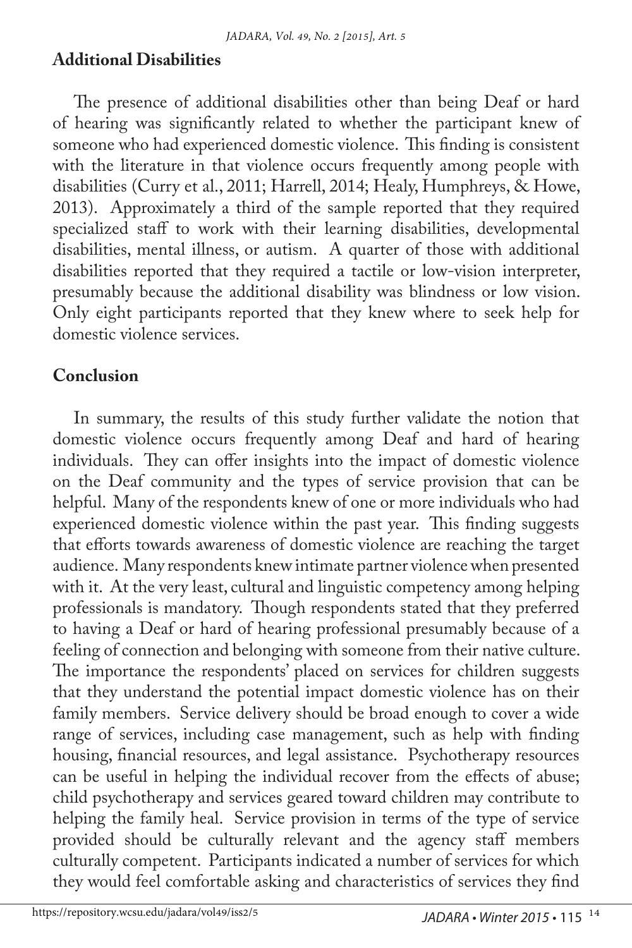## **Additional Disabilities**

The presence of additional disabilities other than being Deaf or hard of hearing was significantly related to whether the participant knew of someone who had experienced domestic violence. This finding is consistent with the literature in that violence occurs frequently among people with disabilities (Curry et al., 2011; Harrell, 2014; Healy, Humphreys, & Howe, 2013). Approximately a third of the sample reported that they required specialized staff to work with their learning disabilities, developmental disabilities, mental illness, or autism. A quarter of those with additional disabilities reported that they required a tactile or low-vision interpreter, presumably because the additional disability was blindness or low vision. Only eight participants reported that they knew where to seek help for domestic violence services.

## **Conclusion**

In summary, the results of this study further validate the notion that domestic violence occurs frequently among Deaf and hard of hearing individuals. They can offer insights into the impact of domestic violence on the Deaf community and the types of service provision that can be helpful. Many of the respondents knew of one or more individuals who had experienced domestic violence within the past year. This finding suggests that efforts towards awareness of domestic violence are reaching the target audience. Many respondents knew intimate partner violence when presented with it. At the very least, cultural and linguistic competency among helping professionals is mandatory. Though respondents stated that they preferred to having a Deaf or hard of hearing professional presumably because of a feeling of connection and belonging with someone from their native culture. The importance the respondents' placed on services for children suggests that they understand the potential impact domestic violence has on their family members. Service delivery should be broad enough to cover a wide range of services, including case management, such as help with finding housing, financial resources, and legal assistance. Psychotherapy resources can be useful in helping the individual recover from the effects of abuse; child psychotherapy and services geared toward children may contribute to helping the family heal. Service provision in terms of the type of service provided should be culturally relevant and the agency staff members culturally competent. Participants indicated a number of services for which they would feel comfortable asking and characteristics of services they find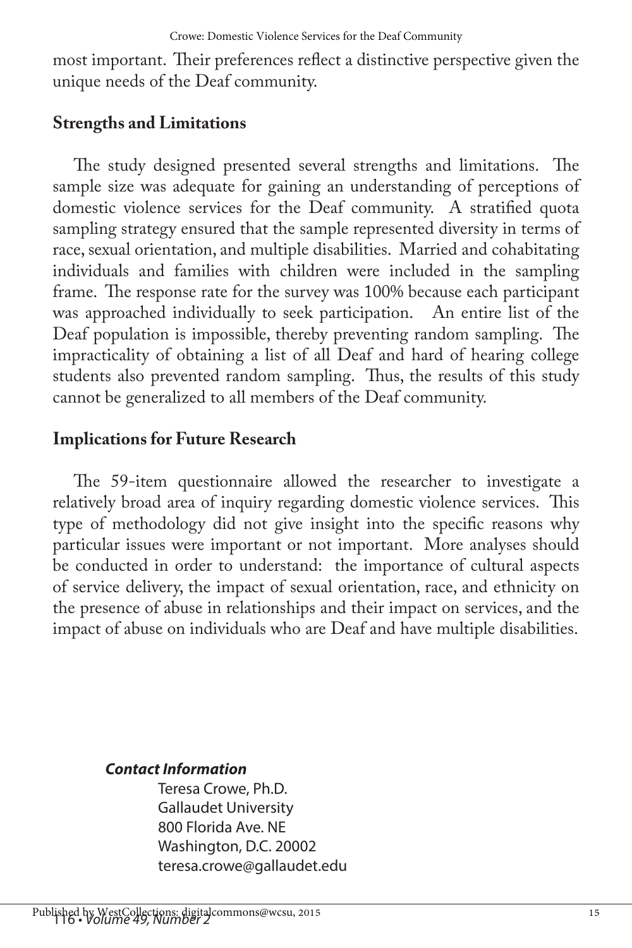most important. Their preferences reflect a distinctive perspective given the unique needs of the Deaf community.

### **Strengths and Limitations**

The study designed presented several strengths and limitations. The sample size was adequate for gaining an understanding of perceptions of domestic violence services for the Deaf community. A stratified quota sampling strategy ensured that the sample represented diversity in terms of race, sexual orientation, and multiple disabilities. Married and cohabitating individuals and families with children were included in the sampling frame. The response rate for the survey was 100% because each participant was approached individually to seek participation. An entire list of the Deaf population is impossible, thereby preventing random sampling. The impracticality of obtaining a list of all Deaf and hard of hearing college students also prevented random sampling. Thus, the results of this study cannot be generalized to all members of the Deaf community.

## **Implications for Future Research**

The 59-item questionnaire allowed the researcher to investigate a relatively broad area of inquiry regarding domestic violence services. This type of methodology did not give insight into the specific reasons why particular issues were important or not important. More analyses should be conducted in order to understand: the importance of cultural aspects of service delivery, the impact of sexual orientation, race, and ethnicity on the presence of abuse in relationships and their impact on services, and the impact of abuse on individuals who are Deaf and have multiple disabilities.

#### *Contact Information*

Teresa Crowe, Ph.D. Gallaudet University 800 Florida Ave. NE Washington, D.C. 20002 teresa.crowe@gallaudet.edu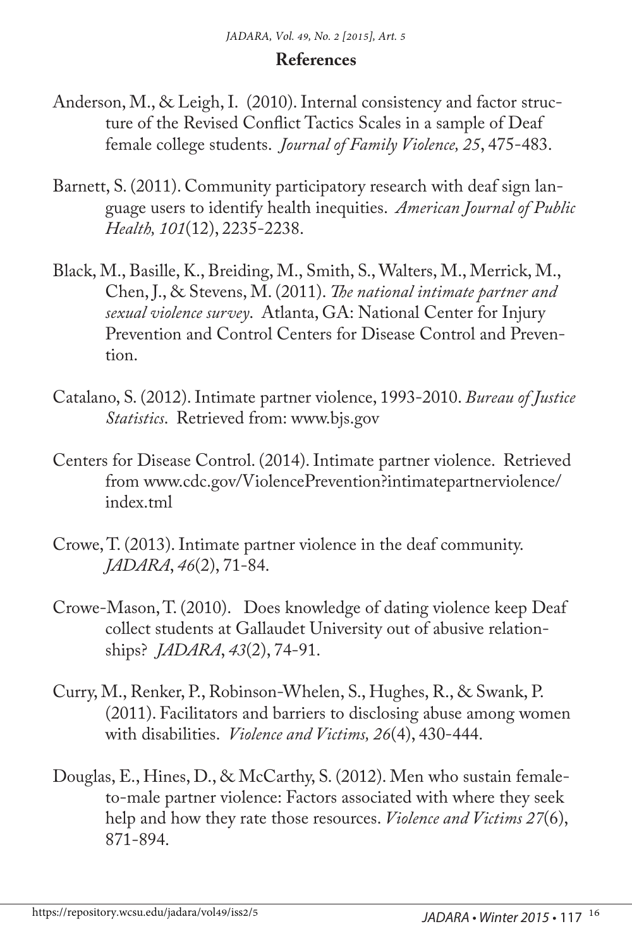#### **References**

- Anderson, M., & Leigh, I. (2010). Internal consistency and factor structure of the Revised Conflict Tactics Scales in a sample of Deaf female college students. *Journal of Family Violence, 25*, 475-483.
- Barnett, S. (2011). Community participatory research with deaf sign language users to identify health inequities. *American Journal of Public Health, 101*(12), 2235-2238.
- Black, M., Basille, K., Breiding, M., Smith, S., Walters, M., Merrick, M., Chen, J., & Stevens, M. (2011). *The national intimate partner and sexual violence survey*. Atlanta, GA: National Center for Injury Prevention and Control Centers for Disease Control and Prevention.
- Catalano, S. (2012). Intimate partner violence, 1993-2010. *Bureau of Justice Statistics*. Retrieved from: www.bjs.gov
- Centers for Disease Control. (2014). Intimate partner violence. Retrieved from www.cdc.gov/ViolencePrevention?intimatepartnerviolence/ index.tml
- Crowe, T. (2013). Intimate partner violence in the deaf community. *JADARA*, *46*(2), 71-84.
- Crowe-Mason, T. (2010). Does knowledge of dating violence keep Deaf collect students at Gallaudet University out of abusive relationships? *JADARA*, *43*(2), 74-91.
- Curry, M., Renker, P., Robinson-Whelen, S., Hughes, R., & Swank, P. (2011). Facilitators and barriers to disclosing abuse among women with disabilities. *Violence and Victims, 26*(4), 430-444.
- Douglas, E., Hines, D., & McCarthy, S. (2012). Men who sustain femaleto-male partner violence: Factors associated with where they seek help and how they rate those resources. *Violence and Victims 27*(6), 871-894.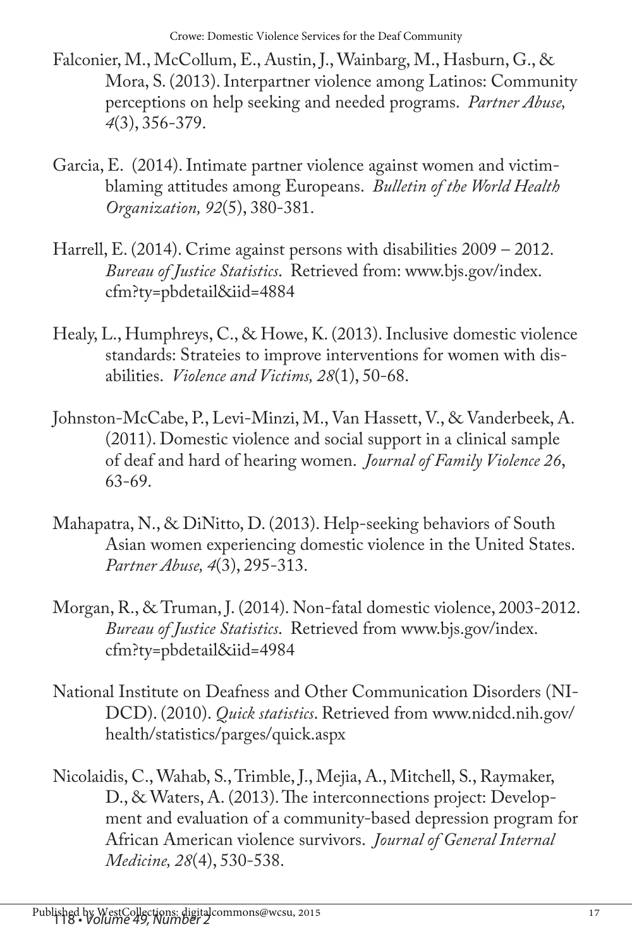Crowe: Domestic Violence Services for the Deaf Community

- Falconier, M., McCollum, E., Austin, J., Wainbarg, M., Hasburn, G., & Mora, S. (2013). Interpartner violence among Latinos: Community perceptions on help seeking and needed programs. *Partner Abuse, 4*(3), 356-379.
- Garcia, E. (2014). Intimate partner violence against women and victimblaming attitudes among Europeans. *Bulletin of the World Health Organization, 92*(5), 380-381.
- Harrell, E. (2014). Crime against persons with disabilities 2009 2012. *Bureau of Justice Statistics*. Retrieved from: www.bjs.gov/index. cfm?ty=pbdetail&iid=4884
- Healy, L., Humphreys, C., & Howe, K. (2013). Inclusive domestic violence standards: Strateies to improve interventions for women with disabilities. *Violence and Victims, 28*(1), 50-68.
- Johnston-McCabe, P., Levi-Minzi, M., Van Hassett, V., & Vanderbeek, A. (2011). Domestic violence and social support in a clinical sample of deaf and hard of hearing women. *Journal of Family Violence 26*, 63-69.
- Mahapatra, N., & DiNitto, D. (2013). Help-seeking behaviors of South Asian women experiencing domestic violence in the United States. *Partner Abuse, 4*(3), 295-313.
- Morgan, R., & Truman, J. (2014). Non-fatal domestic violence, 2003-2012. *Bureau of Justice Statistics*. Retrieved from www.bjs.gov/index. cfm?ty=pbdetail&iid=4984
- National Institute on Deafness and Other Communication Disorders (NI-DCD). (2010). *Quick statistics*. Retrieved from www.nidcd.nih.gov/ health/statistics/parges/quick.aspx
- Nicolaidis, C., Wahab, S., Trimble, J., Mejia, A., Mitchell, S., Raymaker, D., & Waters, A. (2013). The interconnections project: Development and evaluation of a community-based depression program for African American violence survivors. *Journal of General Internal Medicine, 28*(4), 530-538.